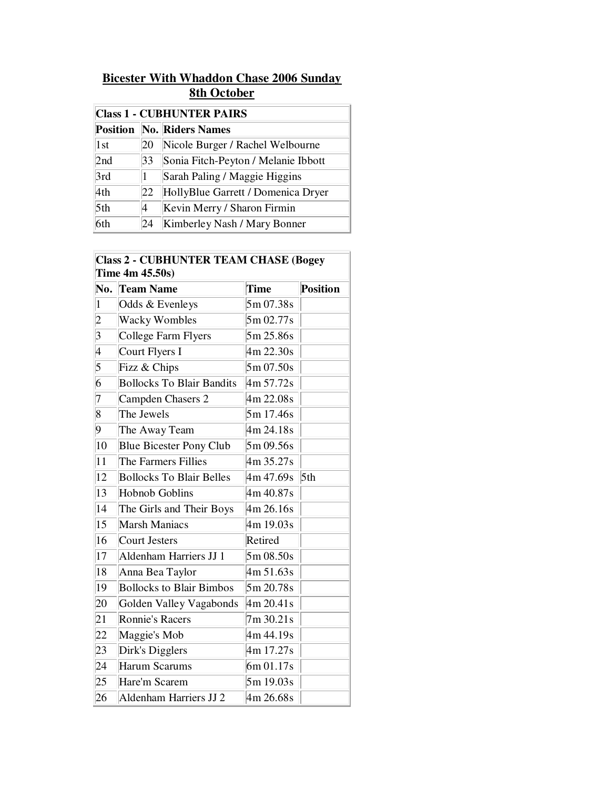## **Bicester With Whaddon Chase 2006 Sunday 8th October**

| <b>Class 1 - CUBHUNTER PAIRS</b> |    |                                     |  |  |  |
|----------------------------------|----|-------------------------------------|--|--|--|
|                                  |    | <b>Position No. Riders Names</b>    |  |  |  |
| $\vert 1st \vert$                | 20 | Nicole Burger / Rachel Welbourne    |  |  |  |
| 2nd                              | 33 | Sonia Fitch-Peyton / Melanie Ibbott |  |  |  |
| 3rd                              |    | Sarah Paling / Maggie Higgins       |  |  |  |
| 4th                              | 22 | HollyBlue Garrett / Domenica Dryer  |  |  |  |
| 5 <sup>th</sup>                  | 4  | Kevin Merry / Sharon Firmin         |  |  |  |
| 6th                              | 24 | Kimberley Nash / Mary Bonner        |  |  |  |

## **Class 2 - CUBHUNTER TEAM CHASE (Bogey Time 4m 45.50s)**

| No.             | <b>Team Name</b>                 | Time         | Position |
|-----------------|----------------------------------|--------------|----------|
| $\vert$ 1       | Odds & Evenleys                  | 5m 07.38s    |          |
| $ 2\rangle$     | <b>Wacky Wombles</b>             | 5m 02.77s    |          |
| 3               | College Farm Flyers              | 5m 25.86s    |          |
| 4               | Court Flyers I                   | 4m 22.30s    |          |
| $\overline{5}$  | Fizz & Chips                     | 5m 07.50s    |          |
| 6               | <b>Bollocks To Blair Bandits</b> | 4m 57.72s    |          |
| 7               | Campden Chasers 2                | 4m 22.08s    |          |
| $\overline{8}$  | The Jewels                       | 5m 17.46s    |          |
| 9               | The Away Team                    | 4m 24.18s    |          |
| $ 10\rangle$    | <b>Blue Bicester Pony Club</b>   | 5m 09.56s    |          |
| 11              | The Farmers Fillies              | 4m 35.27s    |          |
| $ 12\rangle$    | <b>Bollocks To Blair Belles</b>  | $4m\,47.69s$ | 5th      |
| 13              | <b>Hobnob Goblins</b>            | 4m 40.87s    |          |
| 14              | The Girls and Their Boys         | 4m 26.16s    |          |
| $ 15\rangle$    | <b>Marsh Maniacs</b>             | 4m 19.03s    |          |
| 16              | Court Jesters                    | Retired      |          |
| 17              | Aldenham Harriers JJ 1           | 5m 08.50s    |          |
| 18              | Anna Bea Taylor                  | 4m 51.63s    |          |
| 19              | <b>Bollocks to Blair Bimbos</b>  | 5m 20.78s    |          |
| 20              | Golden Valley Vagabonds          | 4m 20.41s    |          |
| 21              | <b>Ronnie's Racers</b>           | 7m 30.21s    |          |
| 22              | Maggie's Mob                     | 4m 44.19s    |          |
| 23              | Dirk's Digglers                  | 4m 17.27s    |          |
| $\overline{24}$ | Harum Scarums                    | 6m 01.17s    |          |
| 25              | Hare'm Scarem                    | 5m 19.03s    |          |
| 26              | Aldenham Harriers JJ 2           | 4m 26.68s    |          |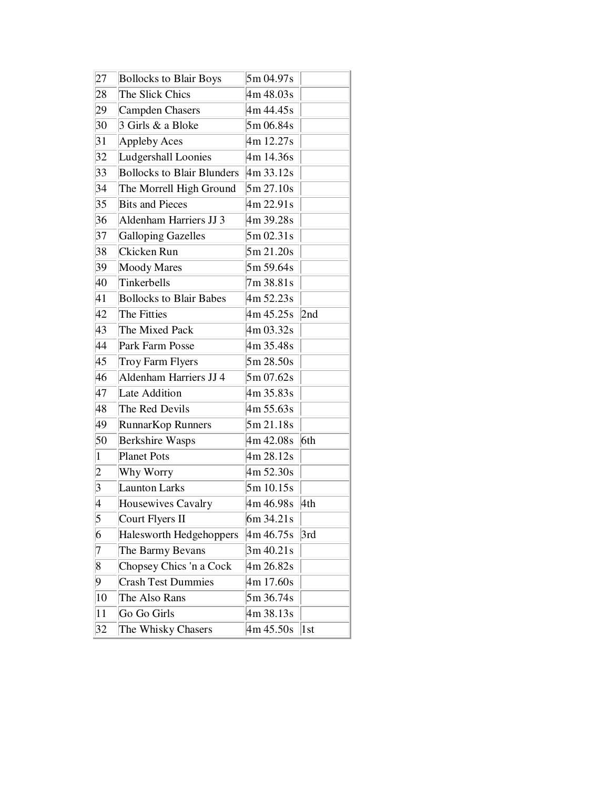| 27              | <b>Bollocks to Blair Boys</b>     | 5m 04.97s |     |
|-----------------|-----------------------------------|-----------|-----|
| 28              | The Slick Chics                   | 4m 48.03s |     |
| 29              | Campden Chasers                   | 4m 44.45s |     |
| 30              | 3 Girls & a Bloke                 | 5m 06.84s |     |
| 31              | Appleby Aces                      | 4m 12.27s |     |
| 32              | Ludgershall Loonies               | 4m 14.36s |     |
| 33              | <b>Bollocks to Blair Blunders</b> | 4m33.12s  |     |
| 34              | The Morrell High Ground           | 5m 27.10s |     |
| 35              | <b>Bits and Pieces</b>            | 4m 22.91s |     |
| 36              | Aldenham Harriers JJ 3            | 4m 39.28s |     |
| 37              | <b>Galloping Gazelles</b>         | 5m 02.31s |     |
| 38              | Ckicken Run                       | 5m 21.20s |     |
| 39              | <b>Moody Mares</b>                | 5m 59.64s |     |
| 40              | Tinkerbells                       | 7m 38.81s |     |
| 41              | <b>Bollocks to Blair Babes</b>    | 4m 52.23s |     |
| 42              | The Fitties                       | 4m 45.25s | 2nd |
| 43              | The Mixed Pack                    | 4m 03.32s |     |
| 44              | Park Farm Posse                   | 4m 35.48s |     |
| 45              | Troy Farm Flyers                  | 5m 28.50s |     |
| 46              | Aldenham Harriers JJ 4            | 5m 07.62s |     |
| 47              | Late Addition                     | 4m 35.83s |     |
| 48              | The Red Devils                    | 4m 55.63s |     |
| 49              | RunnarKop Runners                 | 5m 21.18s |     |
| 50              | <b>Berkshire Wasps</b>            | 4m 42.08s | 6th |
| $\vert$ 1       | <b>Planet Pots</b>                | 4m 28.12s |     |
| $ 2 \>$         | Why Worry                         | 4m 52.30s |     |
| $\overline{3}$  | Launton Larks                     | 5m 10.15s |     |
| 4               | Housewives Cavalry                | 4m 46.98s | 4th |
| $\vert 5 \vert$ | Court Flyers II                   | 6m 34.21s |     |
| 6               | Halesworth Hedgehoppers           | 4m 46.75s | 3rd |
| 7               | The Barmy Bevans                  | 3m 40.21s |     |
| $\vert 8$       | Chopsey Chics 'n a Cock           | 4m 26.82s |     |
| 9               | <b>Crash Test Dummies</b>         | 4m 17.60s |     |
| 10              | The Also Rans                     | 5m 36.74s |     |
| 11              | Go Go Girls                       | 4m 38.13s |     |
| 32              | The Whisky Chasers                | 4m 45.50s | 1st |